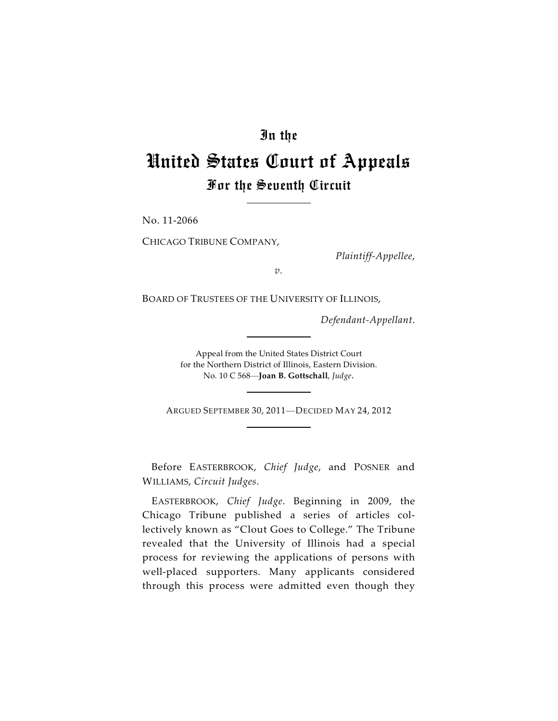## In the

## United States Court of Appeals For the Seventh Circuit

No. 11-2066

CHICAGO TRIBUNE COMPANY,

*Plaintiff-Appellee*,

*v.*

BOARD OF TRUSTEES OF THE UNIVERSITY OF ILLINOIS,

*Defendant-Appellant*.

Appeal from the United States District Court for the Northern District of Illinois, Eastern Division. No. 10 C 568—**Joan B. Gottschall**, *Judge*.

ARGUED SEPTEMBER 30, 2011—DECIDED MAY 24, 2012

Before EASTERBROOK, *Chief Judge*, and POSNER and WILLIAMS, *Circuit Judges*.

EASTERBROOK, *Chief Judge*. Beginning in 2009, the Chicago Tribune published a series of articles collectively known as "Clout Goes to College." The Tribune revealed that the University of Illinois had a special process for reviewing the applications of persons with well-placed supporters. Many applicants considered through this process were admitted even though they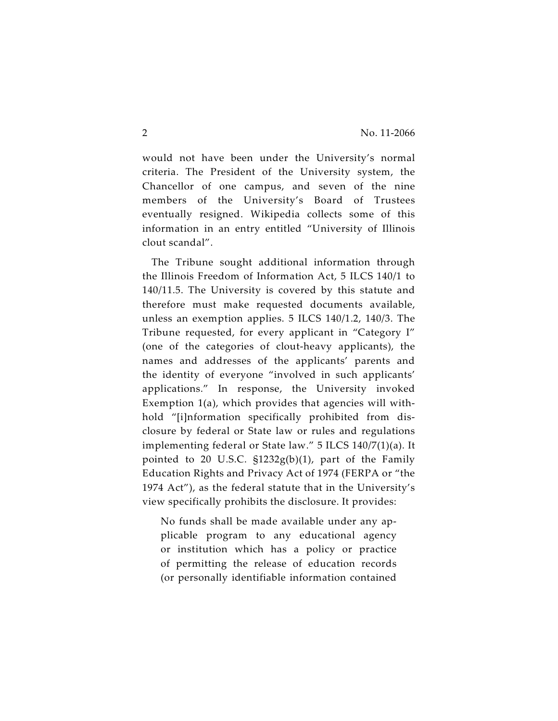would not have been under the University's normal criteria. The President of the University system, the Chancellor of one campus, and seven of the nine members of the University's Board of Trustees eventually resigned. Wikipedia collects some of this information in an entry entitled "University of Illinois clout scandal".

The Tribune sought additional information through the Illinois Freedom of Information Act, 5 ILCS 140/1 to 140/11.5. The University is covered by this statute and therefore must make requested documents available, unless an exemption applies. 5 ILCS 140/1.2, 140/3. The Tribune requested, for every applicant in "Category I" (one of the categories of clout-heavy applicants), the names and addresses of the applicants' parents and the identity of everyone "involved in such applicants' applications." In response, the University invoked Exemption 1(a), which provides that agencies will withhold "[i]nformation specifically prohibited from disclosure by federal or State law or rules and regulations implementing federal or State law." 5 ILCS 140/7(1)(a). It pointed to 20 U.S.C.  $\frac{21232g(b)}{1}$ , part of the Family Education Rights and Privacy Act of 1974 (FERPA or "the 1974 Act"), as the federal statute that in the University's view specifically prohibits the disclosure. It provides:

No funds shall be made available under any applicable program to any educational agency or institution which has a policy or practice of permitting the release of education records (or personally identifiable information contained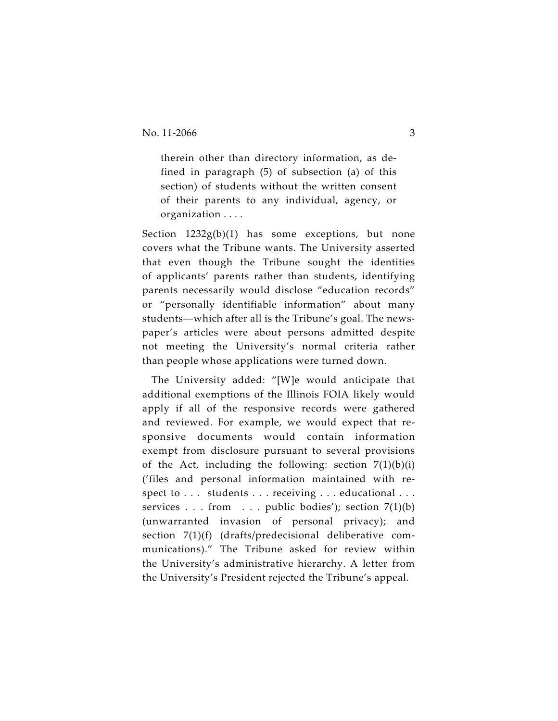therein other than directory information, as defined in paragraph (5) of subsection (a) of this section) of students without the written consent of their parents to any individual, agency, or organization . . . .

Section  $1232g(b)(1)$  has some exceptions, but none covers what the Tribune wants. The University asserted that even though the Tribune sought the identities of applicants' parents rather than students, identifying parents necessarily would disclose "education records" or "personally identifiable information" about many students—which after all is the Tribune's goal. The newspaper's articles were about persons admitted despite not meeting the University's normal criteria rather than people whose applications were turned down.

The University added: "[W]e would anticipate that additional exemptions of the Illinois FOIA likely would apply if all of the responsive records were gathered and reviewed. For example, we would expect that responsive documents would contain information exempt from disclosure pursuant to several provisions of the Act, including the following: section  $7(1)(b)(i)$ ('files and personal information maintained with respect to . . . students . . . receiving . . . educational . . . services . . . from . . . public bodies'); section 7(1)(b) (unwarranted invasion of personal privacy); and section 7(1)(f) (drafts/predecisional deliberative communications)." The Tribune asked for review within the University's administrative hierarchy. A letter from the University's President rejected the Tribune's appeal.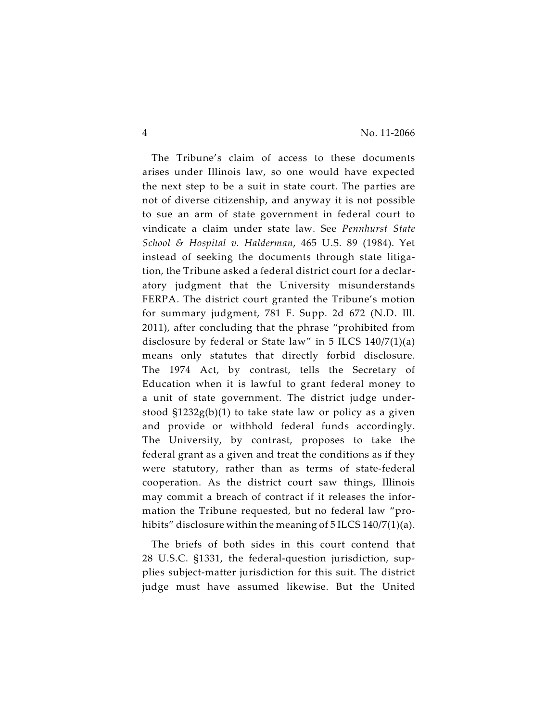The Tribune's claim of access to these documents arises under Illinois law, so one would have expected the next step to be a suit in state court. The parties are not of diverse citizenship, and anyway it is not possible to sue an arm of state government in federal court to vindicate a claim under state law. See *Pennhurst State School & Hospital v. Halderman*, 465 U.S. 89 (1984). Yet instead of seeking the documents through state litigation, the Tribune asked a federal district court for a declaratory judgment that the University misunderstands FERPA. The district court granted the Tribune's motion for summary judgment, 781 F. Supp. 2d 672 (N.D. Ill. 2011), after concluding that the phrase "prohibited from disclosure by federal or State law" in 5 ILCS 140/7(1)(a) means only statutes that directly forbid disclosure. The 1974 Act, by contrast, tells the Secretary of Education when it is lawful to grant federal money to a unit of state government. The district judge understood §1232g(b)(1) to take state law or policy as a given and provide or withhold federal funds accordingly. The University, by contrast, proposes to take the federal grant as a given and treat the conditions as if they were statutory, rather than as terms of state-federal cooperation. As the district court saw things, Illinois may commit a breach of contract if it releases the information the Tribune requested, but no federal law "prohibits" disclosure within the meaning of 5 ILCS 140/7(1)(a).

The briefs of both sides in this court contend that 28 U.S.C. §1331, the federal-question jurisdiction, supplies subject-matter jurisdiction for this suit. The district judge must have assumed likewise. But the United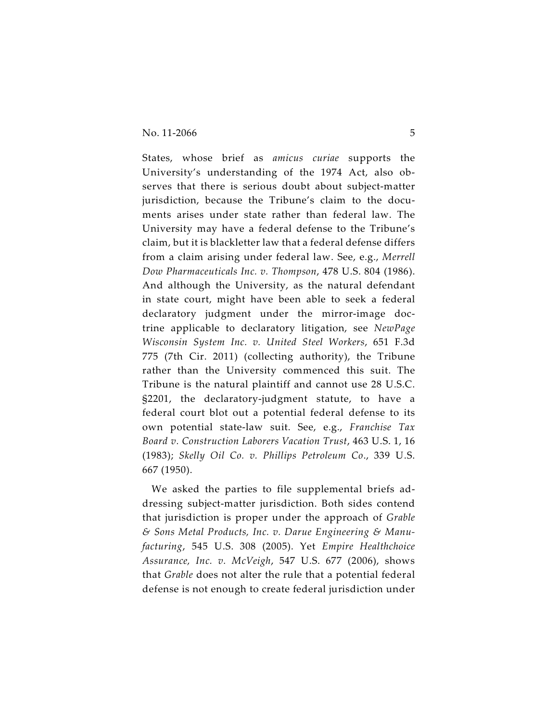States, whose brief as *amicus curiae* supports the University's understanding of the 1974 Act, also observes that there is serious doubt about subject-matter jurisdiction, because the Tribune's claim to the documents arises under state rather than federal law. The University may have a federal defense to the Tribune's claim, but it is blackletter law that a federal defense differs from a claim arising under federal law. See, e.g., *Merrell Dow Pharmaceuticals Inc. v. Thompson*, 478 U.S. 804 (1986). And although the University, as the natural defendant in state court, might have been able to seek a federal declaratory judgment under the mirror-image doctrine applicable to declaratory litigation, see *NewPage Wisconsin System Inc. v. United Steel Workers*, 651 F.3d 775 (7th Cir. 2011) (collecting authority), the Tribune rather than the University commenced this suit. The Tribune is the natural plaintiff and cannot use 28 U.S.C. §2201, the declaratory-judgment statute, to have a federal court blot out a potential federal defense to its own potential state-law suit. See, e.g., *Franchise Tax Board v. Construction Laborers Vacation Trust*, 463 U.S. 1, 16 (1983); *Skelly Oil Co. v. Phillips Petroleum Co*., 339 U.S. 667 (1950).

We asked the parties to file supplemental briefs addressing subject-matter jurisdiction. Both sides contend that jurisdiction is proper under the approach of *Grable & Sons Metal Products, Inc. v. Darue Engineering & Manufacturing*, 545 U.S. 308 (2005). Yet *Empire Healthchoice Assurance, Inc. v. McVeigh*, 547 U.S. 677 (2006), shows that *Grable* does not alter the rule that a potential federal defense is not enough to create federal jurisdiction under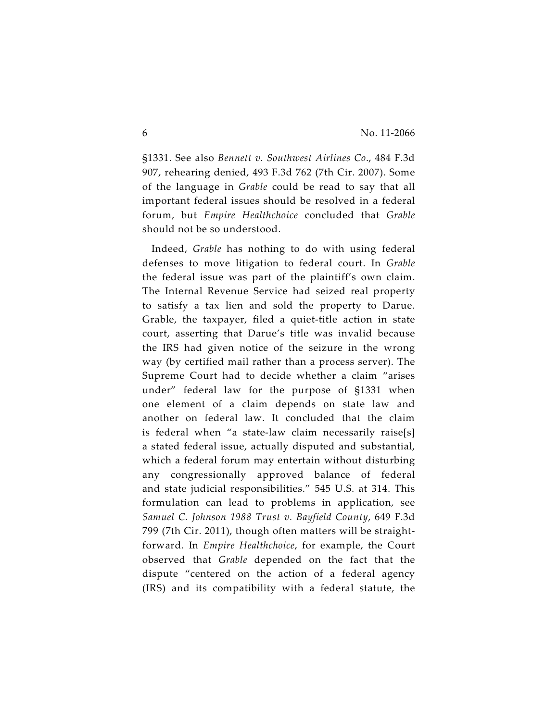§1331. See also *Bennett v. Southwest Airlines Co*., 484 F.3d 907, rehearing denied, 493 F.3d 762 (7th Cir. 2007). Some of the language in *Grable* could be read to say that all important federal issues should be resolved in a federal forum, but *Empire Healthchoice* concluded that *Grable* should not be so understood.

Indeed, *Grable* has nothing to do with using federal defenses to move litigation to federal court. In *Grable* the federal issue was part of the plaintiff's own claim. The Internal Revenue Service had seized real property to satisfy a tax lien and sold the property to Darue. Grable, the taxpayer, filed a quiet-title action in state court, asserting that Darue's title was invalid because the IRS had given notice of the seizure in the wrong way (by certified mail rather than a process server). The Supreme Court had to decide whether a claim "arises under" federal law for the purpose of §1331 when one element of a claim depends on state law and another on federal law. It concluded that the claim is federal when "a state-law claim necessarily raise[s] a stated federal issue, actually disputed and substantial, which a federal forum may entertain without disturbing any congressionally approved balance of federal and state judicial responsibilities." 545 U.S. at 314. This formulation can lead to problems in application, see *Samuel C. Johnson 1988 Trust v. Bayfield County*, 649 F.3d 799 (7th Cir. 2011), though often matters will be straightforward. In *Empire Healthchoice*, for example, the Court observed that *Grable* depended on the fact that the dispute "centered on the action of a federal agency (IRS) and its compatibility with a federal statute, the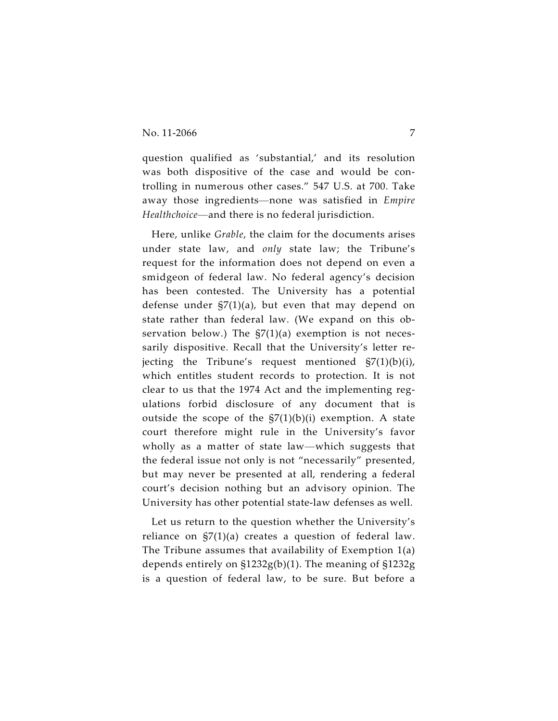question qualified as 'substantial,' and its resolution was both dispositive of the case and would be controlling in numerous other cases." 547 U.S. at 700. Take away those ingredients—none was satisfied in *Empire Healthchoice*—and there is no federal jurisdiction.

Here, unlike *Grable*, the claim for the documents arises under state law, and *only* state law; the Tribune's request for the information does not depend on even a smidgeon of federal law. No federal agency's decision has been contested. The University has a potential defense under  $\frac{57(1)}{a}$ , but even that may depend on state rather than federal law. (We expand on this observation below.) The  $\frac{57(1)}{a}$  exemption is not necessarily dispositive. Recall that the University's letter rejecting the Tribune's request mentioned  $\frac{57(1)}{b(i)}$ , which entitles student records to protection. It is not clear to us that the 1974 Act and the implementing regulations forbid disclosure of any document that is outside the scope of the  $\frac{57(1)}{b(i)}$  exemption. A state court therefore might rule in the University's favor wholly as a matter of state law—which suggests that the federal issue not only is not "necessarily" presented, but may never be presented at all, rendering a federal court's decision nothing but an advisory opinion. The University has other potential state-law defenses as well.

Let us return to the question whether the University's reliance on §7(1)(a) creates a question of federal law. The Tribune assumes that availability of Exemption 1(a) depends entirely on §1232g(b)(1). The meaning of §1232g is a question of federal law, to be sure. But before a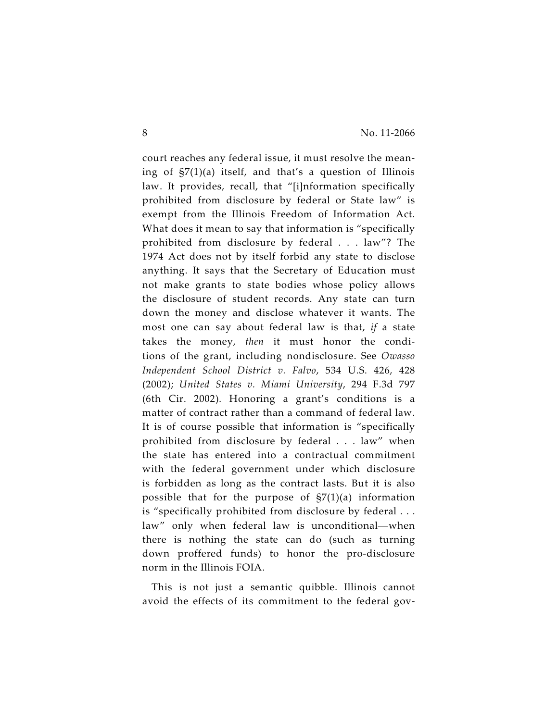court reaches any federal issue, it must resolve the meaning of §7(1)(a) itself, and that's a question of Illinois law. It provides, recall, that "[i]nformation specifically prohibited from disclosure by federal or State law" is exempt from the Illinois Freedom of Information Act. What does it mean to say that information is "specifically prohibited from disclosure by federal . . . law"? The 1974 Act does not by itself forbid any state to disclose anything. It says that the Secretary of Education must not make grants to state bodies whose policy allows the disclosure of student records. Any state can turn down the money and disclose whatever it wants. The most one can say about federal law is that, *if* a state takes the money, *then* it must honor the conditions of the grant, including nondisclosure. See *Owasso Independent School District v. Falvo*, 534 U.S. 426, 428 (2002); *United States v. Miami University*, 294 F.3d 797 (6th Cir. 2002). Honoring a grant's conditions is a matter of contract rather than a command of federal law. It is of course possible that information is "specifically prohibited from disclosure by federal . . . law" when the state has entered into a contractual commitment with the federal government under which disclosure is forbidden as long as the contract lasts. But it is also possible that for the purpose of  $\frac{57(1)}{a}$  information is "specifically prohibited from disclosure by federal . . . law" only when federal law is unconditional—when there is nothing the state can do (such as turning down proffered funds) to honor the pro-disclosure norm in the Illinois FOIA.

This is not just a semantic quibble. Illinois cannot avoid the effects of its commitment to the federal gov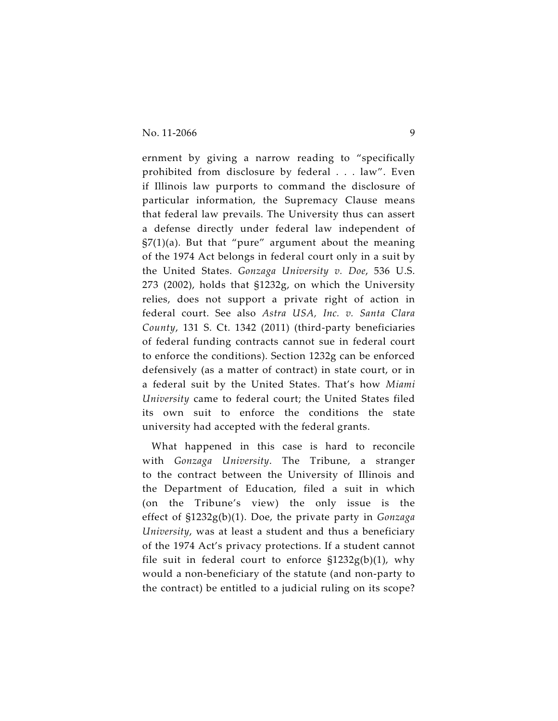ernment by giving a narrow reading to "specifically prohibited from disclosure by federal . . . law". Even if Illinois law purports to command the disclosure of particular information, the Supremacy Clause means that federal law prevails. The University thus can assert a defense directly under federal law independent of  $\S7(1)(a)$ . But that "pure" argument about the meaning of the 1974 Act belongs in federal court only in a suit by the United States. *Gonzaga University v. Doe*, 536 U.S. 273 (2002), holds that §1232g, on which the University relies, does not support a private right of action in federal court. See also *Astra USA, Inc. v. Santa Clara County*, 131 S. Ct. 1342 (2011) (third-party beneficiaries of federal funding contracts cannot sue in federal court to enforce the conditions). Section 1232g can be enforced defensively (as a matter of contract) in state court, or in a federal suit by the United States. That's how *Miami University* came to federal court; the United States filed its own suit to enforce the conditions the state university had accepted with the federal grants.

What happened in this case is hard to reconcile with *Gonzaga University*. The Tribune, a stranger to the contract between the University of Illinois and the Department of Education, filed a suit in which (on the Tribune's view) the only issue is the effect of §1232g(b)(1). Doe, the private party in *Gonzaga University*, was at least a student and thus a beneficiary of the 1974 Act's privacy protections. If a student cannot file suit in federal court to enforce  $$1232g(b)(1)$ , why would a non-beneficiary of the statute (and non-party to the contract) be entitled to a judicial ruling on its scope?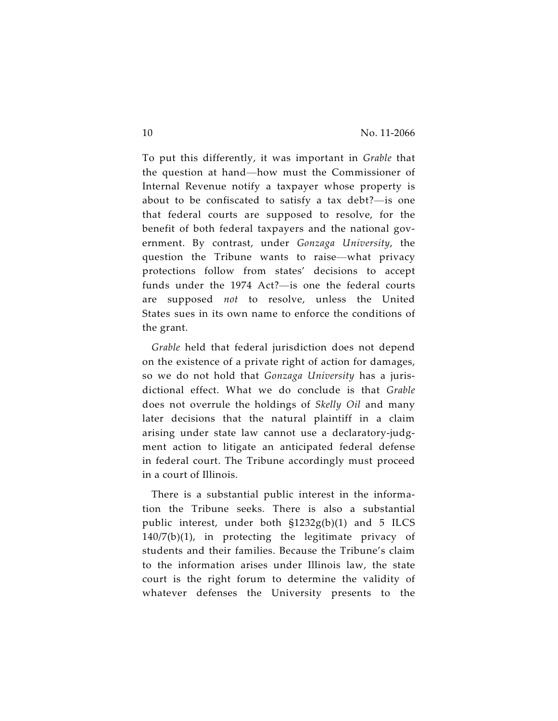To put this differently, it was important in *Grable* that the question at hand—how must the Commissioner of Internal Revenue notify a taxpayer whose property is about to be confiscated to satisfy a tax debt?—is one that federal courts are supposed to resolve, for the benefit of both federal taxpayers and the national government. By contrast, under *Gonzaga University*, the question the Tribune wants to raise—what privacy protections follow from states' decisions to accept funds under the 1974 Act?—is one the federal courts are supposed *not* to resolve, unless the United States sues in its own name to enforce the conditions of the grant.

*Grable* held that federal jurisdiction does not depend on the existence of a private right of action for damages, so we do not hold that *Gonzaga University* has a jurisdictional effect. What we do conclude is that *Grable* does not overrule the holdings of *Skelly Oil* and many later decisions that the natural plaintiff in a claim arising under state law cannot use a declaratory-judgment action to litigate an anticipated federal defense in federal court. The Tribune accordingly must proceed in a court of Illinois.

There is a substantial public interest in the information the Tribune seeks. There is also a substantial public interest, under both §1232g(b)(1) and 5 ILCS 140/7(b)(1), in protecting the legitimate privacy of students and their families. Because the Tribune's claim to the information arises under Illinois law, the state court is the right forum to determine the validity of whatever defenses the University presents to the